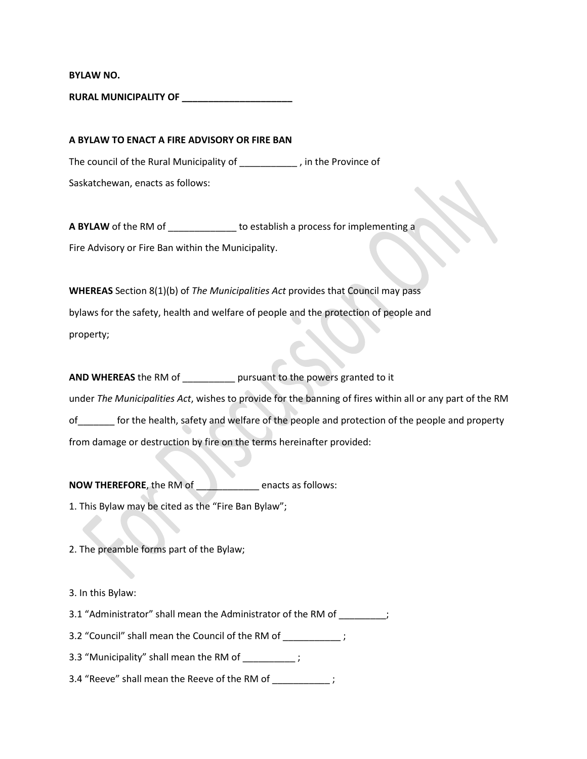**BYLAW NO.** 

**RURAL MUNICIPALITY OF \_\_\_\_\_\_\_\_\_\_\_\_\_\_\_\_\_\_\_\_\_**

**A BYLAW TO ENACT A FIRE ADVISORY OR FIRE BAN** The council of the Rural Municipality of \_\_\_\_\_\_\_\_\_\_\_ , in the Province of Saskatchewan, enacts as follows:

**A BYLAW** of the RM of \_\_\_\_\_\_\_\_\_\_\_\_\_ to establish a process for implementing a Fire Advisory or Fire Ban within the Municipality.

**WHEREAS** Section 8(1)(b) of *The Municipalities Act* provides that Council may pass bylaws for the safety, health and welfare of people and the protection of people and property;

**AND WHEREAS** the RM of \_\_\_\_\_\_\_\_\_\_ pursuant to the powers granted to it under *The Municipalities Act*, wishes to provide for the banning of fires within all or any part of the RM of\_\_\_\_\_\_\_ for the health, safety and welfare of the people and protection of the people and property from damage or destruction by fire on the terms hereinafter provided:

**NOW THEREFORE**, the RM of \_\_\_\_\_\_\_\_\_\_\_\_ enacts as follows: 1. This Bylaw may be cited as the "Fire Ban Bylaw";

2. The preamble forms part of the Bylaw;

3. In this Bylaw:

3.1 "Administrator" shall mean the Administrator of the RM of \_\_\_\_\_\_\_\_\_;

3.2 "Council" shall mean the Council of the RM of  $\hspace{1cm}$  ;

3.3 "Municipality" shall mean the RM of  $\hspace{1cm}$  ;

3.4 "Reeve" shall mean the Reeve of the RM of \_\_\_\_\_\_\_\_\_\_\_;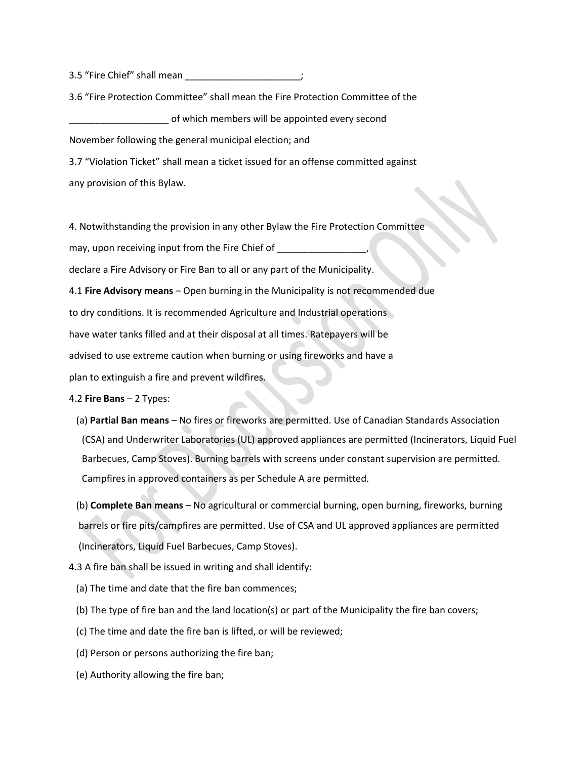3.5 "Fire Chief" shall mean \_\_\_\_\_\_\_\_\_\_\_\_\_\_\_\_\_\_\_\_\_\_;

3.6 "Fire Protection Committee" shall mean the Fire Protection Committee of the \_\_\_\_\_\_\_\_\_\_\_\_\_\_\_\_\_\_\_ of which members will be appointed every second

November following the general municipal election; and

3.7 "Violation Ticket" shall mean a ticket issued for an offense committed against any provision of this Bylaw.

4. Notwithstanding the provision in any other Bylaw the Fire Protection Committee

may, upon receiving input from the Fire Chief of \_\_\_\_\_\_\_\_\_\_\_\_\_

declare a Fire Advisory or Fire Ban to all or any part of the Municipality.

4.1 **Fire Advisory means** – Open burning in the Municipality is not recommended due to dry conditions. It is recommended Agriculture and Industrial operations have water tanks filled and at their disposal at all times. Ratepayers will be advised to use extreme caution when burning or using fireworks and have a plan to extinguish a fire and prevent wildfires.

## 4.2 **Fire Bans** – 2 Types:

- (a) **Partial Ban means**  No fires or fireworks are permitted. Use of Canadian Standards Association (CSA) and Underwriter Laboratories (UL) approved appliances are permitted (Incinerators, Liquid Fuel Barbecues, Camp Stoves). Burning barrels with screens under constant supervision are permitted. Campfires in approved containers as per Schedule A are permitted.
- (b) **Complete Ban means** No agricultural or commercial burning, open burning, fireworks, burning barrels or fire pits/campfires are permitted. Use of CSA and UL approved appliances are permitted (Incinerators, Liquid Fuel Barbecues, Camp Stoves).
- 4.3 A fire ban shall be issued in writing and shall identify:
	- (a) The time and date that the fire ban commences;
	- (b) The type of fire ban and the land location(s) or part of the Municipality the fire ban covers;
	- (c) The time and date the fire ban is lifted, or will be reviewed;
	- (d) Person or persons authorizing the fire ban;
	- (e) Authority allowing the fire ban;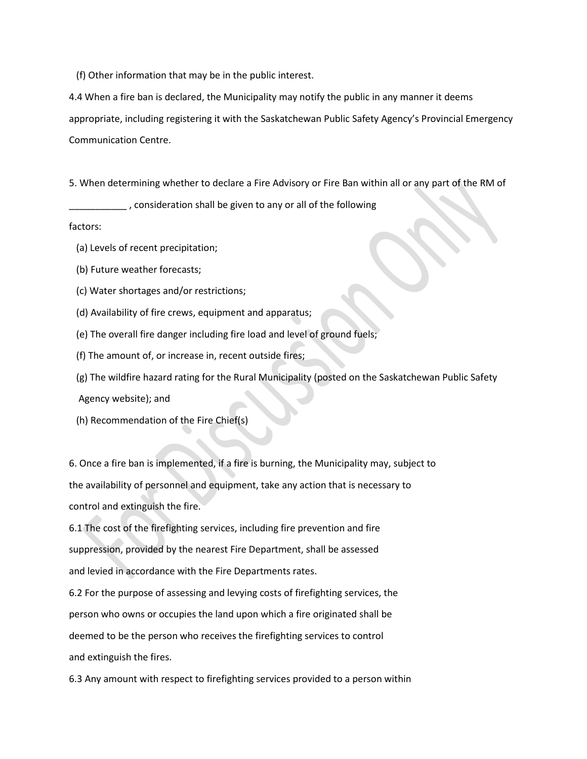(f) Other information that may be in the public interest.

4.4 When a fire ban is declared, the Municipality may notify the public in any manner it deems appropriate, including registering it with the Saskatchewan Public Safety Agency's Provincial Emergency Communication Centre.

5. When determining whether to declare a Fire Advisory or Fire Ban within all or any part of the RM of

\_\_\_\_\_\_\_\_\_\_\_ , consideration shall be given to any or all of the following

factors:

- (a) Levels of recent precipitation;
- (b) Future weather forecasts;
- (c) Water shortages and/or restrictions;
- (d) Availability of fire crews, equipment and apparatus;
- (e) The overall fire danger including fire load and level of ground fuels;
- (f) The amount of, or increase in, recent outside fires;
- (g) The wildfire hazard rating for the Rural Municipality (posted on the Saskatchewan Public Safety Agency website); and
- (h) Recommendation of the Fire Chief(s)

6. Once a fire ban is implemented, if a fire is burning, the Municipality may, subject to the availability of personnel and equipment, take any action that is necessary to control and extinguish the fire.

6.1 The cost of the firefighting services, including fire prevention and fire suppression, provided by the nearest Fire Department, shall be assessed and levied in accordance with the Fire Departments rates.

6.2 For the purpose of assessing and levying costs of firefighting services, the person who owns or occupies the land upon which a fire originated shall be deemed to be the person who receives the firefighting services to control and extinguish the fires.

6.3 Any amount with respect to firefighting services provided to a person within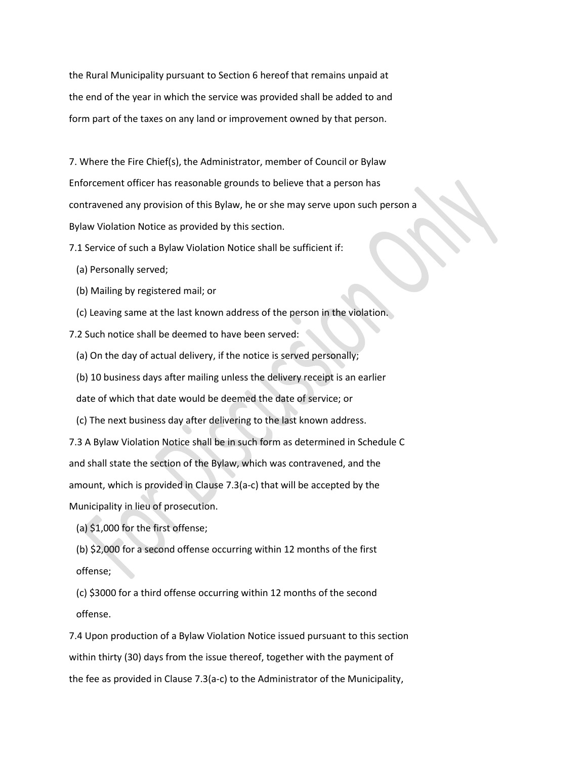the Rural Municipality pursuant to Section 6 hereof that remains unpaid at the end of the year in which the service was provided shall be added to and form part of the taxes on any land or improvement owned by that person.

7. Where the Fire Chief(s), the Administrator, member of Council or Bylaw Enforcement officer has reasonable grounds to believe that a person has contravened any provision of this Bylaw, he or she may serve upon such person a Bylaw Violation Notice as provided by this section.

7.1 Service of such a Bylaw Violation Notice shall be sufficient if:

- (a) Personally served;
- (b) Mailing by registered mail; or
- (c) Leaving same at the last known address of the person in the violation.

7.2 Such notice shall be deemed to have been served:

(a) On the day of actual delivery, if the notice is served personally;

(b) 10 business days after mailing unless the delivery receipt is an earlier

date of which that date would be deemed the date of service; or

(c) The next business day after delivering to the last known address.

7.3 A Bylaw Violation Notice shall be in such form as determined in Schedule C and shall state the section of the Bylaw, which was contravened, and the amount, which is provided in Clause 7.3(a-c) that will be accepted by the Municipality in lieu of prosecution.

(a) \$1,000 for the first offense;

 (b) \$2,000 for a second offense occurring within 12 months of the first offense;

 (c) \$3000 for a third offense occurring within 12 months of the second offense.

7.4 Upon production of a Bylaw Violation Notice issued pursuant to this section within thirty (30) days from the issue thereof, together with the payment of the fee as provided in Clause 7.3(a-c) to the Administrator of the Municipality,